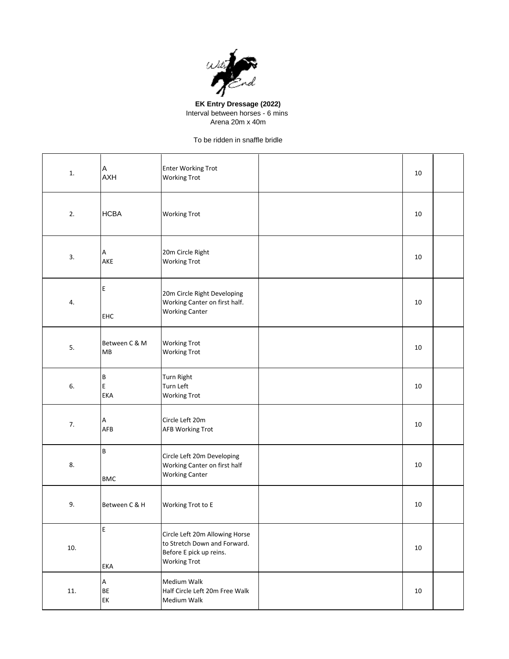

## **EK Entry Dressage (2022)** Interval between horses - 6 mins Arena 20m x 40m

## To be ridden in snaffle bridle

| 1.  | Α<br><b>AXH</b>            | Enter Working Trot<br><b>Working Trot</b>                                                                        | 10     |  |
|-----|----------------------------|------------------------------------------------------------------------------------------------------------------|--------|--|
| 2.  | <b>HCBA</b>                | <b>Working Trot</b>                                                                                              | 10     |  |
| 3.  | А<br>AKE                   | 20m Circle Right<br><b>Working Trot</b>                                                                          | 10     |  |
| 4.  | E<br>EHC                   | 20m Circle Right Developing<br>Working Canter on first half.<br><b>Working Canter</b>                            | 10     |  |
| 5.  | Between C & M<br>MB        | <b>Working Trot</b><br><b>Working Trot</b>                                                                       | 10     |  |
| 6.  | $\sf B$<br>E<br><b>EKA</b> | <b>Turn Right</b><br>Turn Left<br><b>Working Trot</b>                                                            | 10     |  |
| 7.  | Α<br>AFB                   | Circle Left 20m<br><b>AFB Working Trot</b>                                                                       | 10     |  |
| 8.  | B<br><b>BMC</b>            | Circle Left 20m Developing<br>Working Canter on first half<br><b>Working Canter</b>                              | 10     |  |
| 9.  | Between C & H              | Working Trot to E                                                                                                | 10     |  |
| 10. | Ε<br>EKA                   | Circle Left 20m Allowing Horse<br>to Stretch Down and Forward.<br>Before E pick up reins.<br><b>Working Trot</b> | 10     |  |
| 11. | A<br>BE<br>EK              | Medium Walk<br>Half Circle Left 20m Free Walk<br>Medium Walk                                                     | $10\,$ |  |